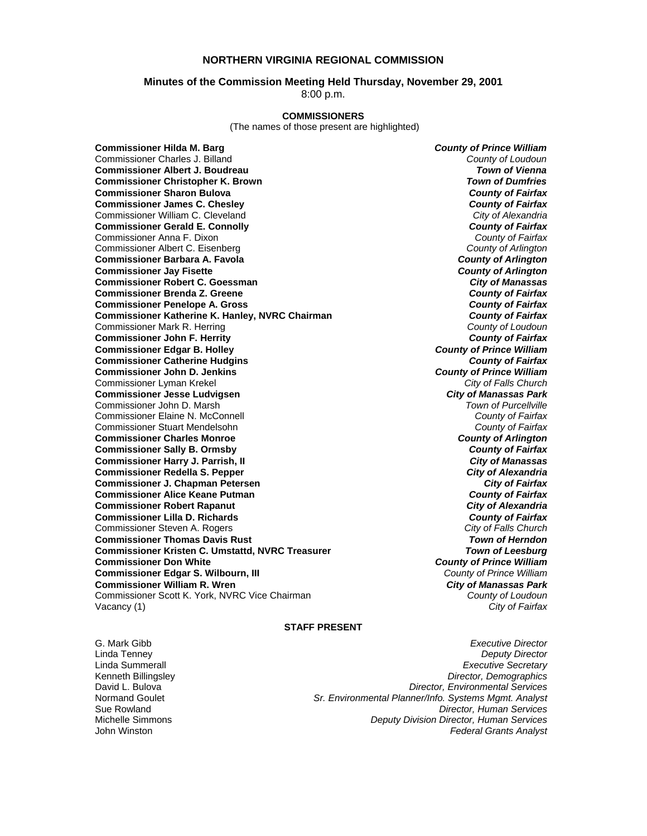### **NORTHERN VIRGINIA REGIONAL COMMISSION**

### **Minutes of the Commission Meeting Held Thursday, November 29, 2001**

8:00 p.m.

### **COMMISSIONERS**

(The names of those present are highlighted)

**Commissioner Hilda M. Barg** *County of Prince William* Commissioner Charles J. Billand *County of Loudoun* **Commissioner Albert J. Boudreau** *Town of Vienna* **Commissioner Christopher K. Brown** *Town of Dumfries*  **Commissioner Sharon Bulova** *County of Fairfax* **Commissioner James C. Chesley** *County of Fairfax* Commissioner William C. Cleveland *City of Alexandria* **Commissioner Gerald E. Connolly** *County of Fairfax* Commissioner Anna F. Dixon *County of Fairfax* Commissioner Albert C. Eisenberg *County of Arlington* **Commissioner Barbara A. Favola** *County of Arlington* **Commissioner Jay Fisette** *County of Arlington* **Commissioner Robert C. Goessman** *City of Manassas* **Commissioner Brenda Z. Greene** *County of Fairfax* **Commissioner Penelope A. Gross** *County of Fairfax* **Commissioner Katherine K. Hanley, NVRC Chairman** *County of Fairfax**County of Fairfax***<br>Commissioner Mark R. Herring** *County of Loudoun* Commissioner Mark R. Herring *County of Loudoun* **Commissioner John F. Herrity** *County of Fairfax* **Commissioner Edgar B. Holley** *County of Prince William* **Commissioner Catherine Hudgins** *County of Fairfax* **Commissioner John D. Jenkins** *County of Prince William* Commissioner Lyman Krekel *City of Falls Church* **Commissioner Jesse Ludvigsen** *City of Manassas Park* Commissioner John D. Marsh *Town of Purcellville* Commissioner Elaine N. McConnell *County of Fairfax* Commissioner Stuart Mendelsohn *County of Fairfax* **Commissioner Charles Monroe** *County of Arlington* **Commissioner Sally B. Ormsby** *County of Fairfax* **Commissioner Harry J. Parrish, II Commissioner Redella S. Pepper** *City of Alexandria* **Commissioner J. Chapman Petersen** *City of Fairfax* **Commissioner Alice Keane Putman** *County of Fairfax* **Commissioner Robert Rapanut** *City of Alexandria* **Commissioner Lilla D. Richards** *County of Fairfax* Commissioner Steven A. Rogers *City of Falls Church* **Commissioner Thomas Davis Rust** *Town of Herndon* **Commissioner Kristen C. Umstattd, NVRC Treasurer Commissioner Don White** *County of Prince William* **Commissioner Edgar S. Wilbourn, III** *County of Prince William* **Commissioner William R. Wren** *City of Manassas Park* Commissioner Scott K. York, NVRC Vice Chairman *County of Loudoun* Vacancy (1) *City of Fairfax*

### **STAFF PRESENT**

G. Mark Gibb *Executive Director* Linda Tenney *Deputy Director* Linda Summerall *Executive Secretary* Kenneth Billingsley *Director, Demographics* David L. Bulova *Director, Environmental Services* Normand Goulet *Sr. Environmental Planner/Info. Systems Mgmt. Analyst* Sue Rowland *Director, Human Services* Michelle Simmons *Deputy Division Director, Human Services* **Federal Grants Analyst**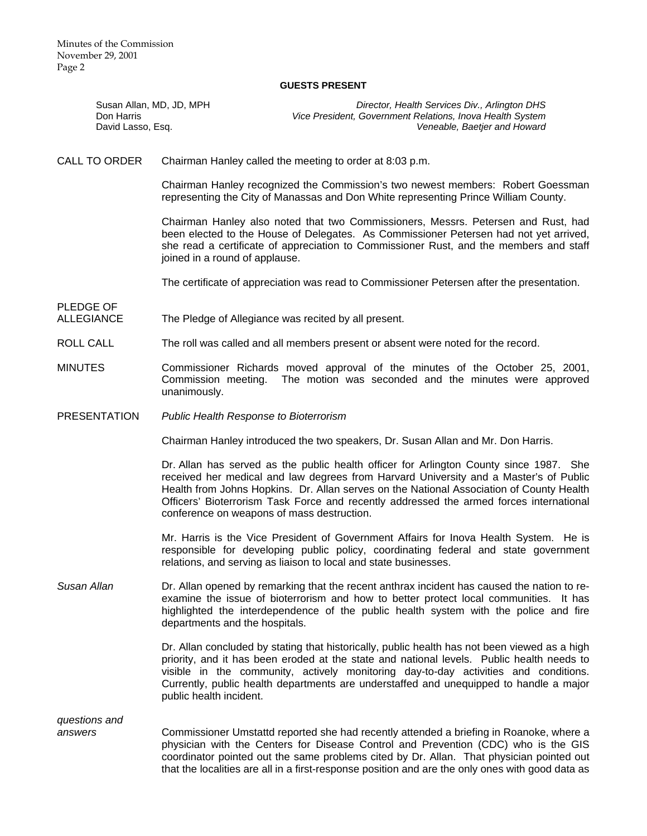### **GUESTS PRESENT**

| Susan Allan, MD, JD, MPH<br>Don Harris<br>David Lasso, Esq. |                                                                                                                                                                        | Director, Health Services Div., Arlington DHS<br>Vice President, Government Relations, Inova Health System<br>Veneable, Baetjer and Howard                                                                                                                                                                                                                                    |
|-------------------------------------------------------------|------------------------------------------------------------------------------------------------------------------------------------------------------------------------|-------------------------------------------------------------------------------------------------------------------------------------------------------------------------------------------------------------------------------------------------------------------------------------------------------------------------------------------------------------------------------|
| <b>CALL TO ORDER</b>                                        | Chairman Hanley called the meeting to order at 8:03 p.m.                                                                                                               |                                                                                                                                                                                                                                                                                                                                                                               |
|                                                             | Chairman Hanley recognized the Commission's two newest members: Robert Goessman<br>representing the City of Manassas and Don White representing Prince William County. |                                                                                                                                                                                                                                                                                                                                                                               |
|                                                             | joined in a round of applause.                                                                                                                                         | Chairman Hanley also noted that two Commissioners, Messrs. Petersen and Rust, had<br>been elected to the House of Delegates. As Commissioner Petersen had not yet arrived,<br>she read a certificate of appreciation to Commissioner Rust, and the members and staff                                                                                                          |
|                                                             |                                                                                                                                                                        | The certificate of appreciation was read to Commissioner Petersen after the presentation.                                                                                                                                                                                                                                                                                     |
| PLEDGE OF<br><b>ALLEGIANCE</b>                              | The Pledge of Allegiance was recited by all present.                                                                                                                   |                                                                                                                                                                                                                                                                                                                                                                               |
| <b>ROLL CALL</b>                                            |                                                                                                                                                                        | The roll was called and all members present or absent were noted for the record.                                                                                                                                                                                                                                                                                              |
| <b>MINUTES</b>                                              | Commission meeting.<br>unanimously.                                                                                                                                    | Commissioner Richards moved approval of the minutes of the October 25, 2001,<br>The motion was seconded and the minutes were approved                                                                                                                                                                                                                                         |
| <b>PRESENTATION</b>                                         | Public Health Response to Bioterrorism                                                                                                                                 |                                                                                                                                                                                                                                                                                                                                                                               |
|                                                             |                                                                                                                                                                        | Chairman Hanley introduced the two speakers, Dr. Susan Allan and Mr. Don Harris.                                                                                                                                                                                                                                                                                              |
|                                                             | conference on weapons of mass destruction.                                                                                                                             | Dr. Allan has served as the public health officer for Arlington County since 1987. She<br>received her medical and law degrees from Harvard University and a Master's of Public<br>Health from Johns Hopkins. Dr. Allan serves on the National Association of County Health<br>Officers' Bioterrorism Task Force and recently addressed the armed forces international        |
|                                                             |                                                                                                                                                                        | Mr. Harris is the Vice President of Government Affairs for Inova Health System. He is<br>responsible for developing public policy, coordinating federal and state government<br>relations, and serving as liaison to local and state businesses.                                                                                                                              |
| Susan Allan                                                 | departments and the hospitals.                                                                                                                                         | Dr. Allan opened by remarking that the recent anthrax incident has caused the nation to re-<br>examine the issue of bioterrorism and how to better protect local communities. It has<br>highlighted the interdependence of the public health system with the police and fire                                                                                                  |
|                                                             | public health incident.                                                                                                                                                | Dr. Allan concluded by stating that historically, public health has not been viewed as a high<br>priority, and it has been eroded at the state and national levels. Public health needs to<br>visible in the community, actively monitoring day-to-day activities and conditions.<br>Currently, public health departments are understaffed and unequipped to handle a major   |
| questions and<br>answers                                    |                                                                                                                                                                        | Commissioner Umstattd reported she had recently attended a briefing in Roanoke, where a<br>physician with the Centers for Disease Control and Prevention (CDC) who is the GIS<br>coordinator pointed out the same problems cited by Dr. Allan. That physician pointed out<br>that the localities are all in a first-response position and are the only ones with good data as |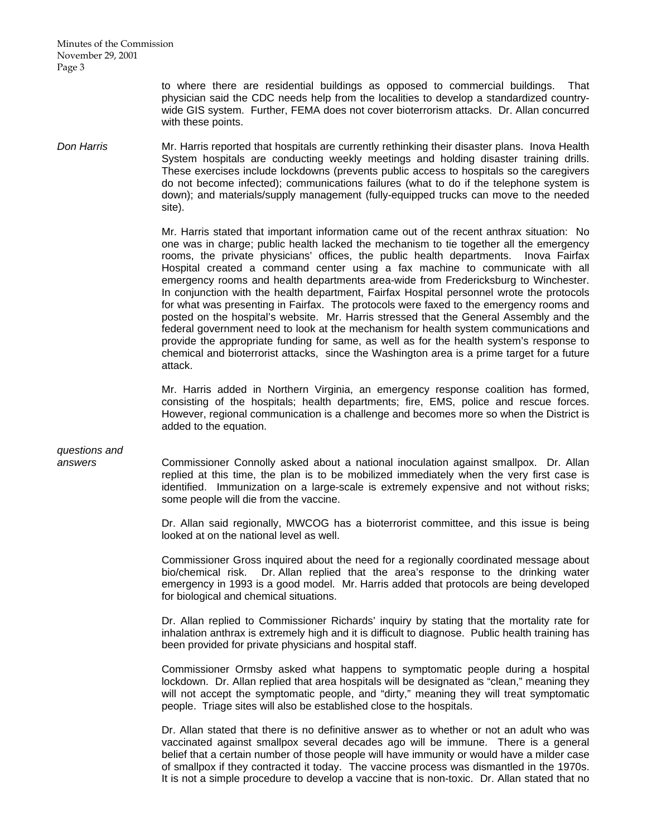> to where there are residential buildings as opposed to commercial buildings. That physician said the CDC needs help from the localities to develop a standardized countrywide GIS system. Further, FEMA does not cover bioterrorism attacks. Dr. Allan concurred with these points.

**Don Harris** Mr. Harris reported that hospitals are currently rethinking their disaster plans. Inova Health System hospitals are conducting weekly meetings and holding disaster training drills. These exercises include lockdowns (prevents public access to hospitals so the caregivers do not become infected); communications failures (what to do if the telephone system is down); and materials/supply management (fully-equipped trucks can move to the needed site).

> Mr. Harris stated that important information came out of the recent anthrax situation: No one was in charge; public health lacked the mechanism to tie together all the emergency rooms, the private physicians' offices, the public health departments. Inova Fairfax Hospital created a command center using a fax machine to communicate with all emergency rooms and health departments area-wide from Fredericksburg to Winchester. In conjunction with the health department, Fairfax Hospital personnel wrote the protocols for what was presenting in Fairfax. The protocols were faxed to the emergency rooms and posted on the hospital's website. Mr. Harris stressed that the General Assembly and the federal government need to look at the mechanism for health system communications and provide the appropriate funding for same, as well as for the health system's response to chemical and bioterrorist attacks, since the Washington area is a prime target for a future attack.

> Mr. Harris added in Northern Virginia, an emergency response coalition has formed, consisting of the hospitals; health departments; fire, EMS, police and rescue forces. However, regional communication is a challenge and becomes more so when the District is added to the equation.

# *questions and*

*answers* Commissioner Connolly asked about a national inoculation against smallpox. Dr. Allan replied at this time, the plan is to be mobilized immediately when the very first case is identified. Immunization on a large-scale is extremely expensive and not without risks; some people will die from the vaccine.

> Dr. Allan said regionally, MWCOG has a bioterrorist committee, and this issue is being looked at on the national level as well.

> Commissioner Gross inquired about the need for a regionally coordinated message about bio/chemical risk. Dr. Allan replied that the area's response to the drinking water emergency in 1993 is a good model. Mr. Harris added that protocols are being developed for biological and chemical situations.

> Dr. Allan replied to Commissioner Richards' inquiry by stating that the mortality rate for inhalation anthrax is extremely high and it is difficult to diagnose. Public health training has been provided for private physicians and hospital staff.

> Commissioner Ormsby asked what happens to symptomatic people during a hospital lockdown. Dr. Allan replied that area hospitals will be designated as "clean," meaning they will not accept the symptomatic people, and "dirty," meaning they will treat symptomatic people. Triage sites will also be established close to the hospitals.

> Dr. Allan stated that there is no definitive answer as to whether or not an adult who was vaccinated against smallpox several decades ago will be immune. There is a general belief that a certain number of those people will have immunity or would have a milder case of smallpox if they contracted it today. The vaccine process was dismantled in the 1970s. It is not a simple procedure to develop a vaccine that is non-toxic. Dr. Allan stated that no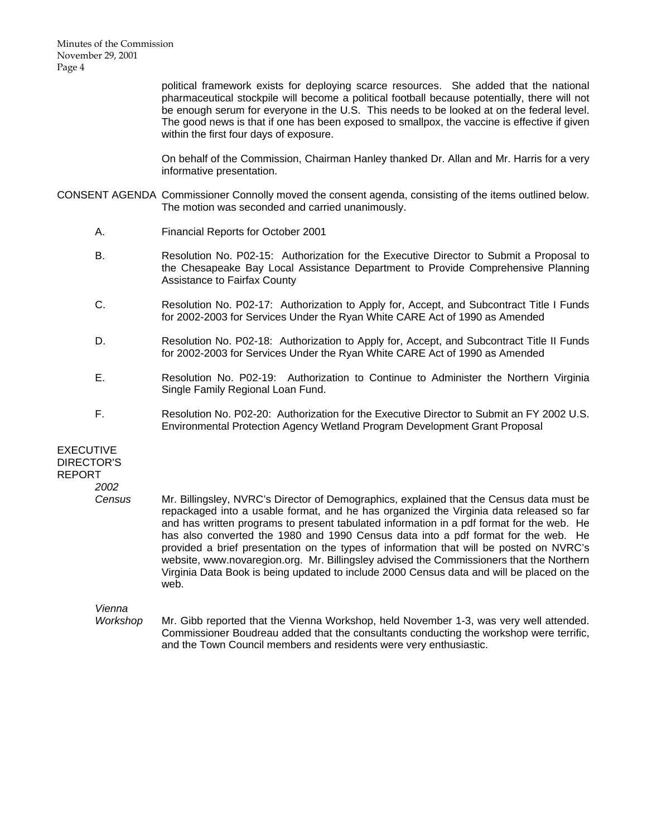> political framework exists for deploying scarce resources. She added that the national pharmaceutical stockpile will become a political football because potentially, there will not be enough serum for everyone in the U.S. This needs to be looked at on the federal level. The good news is that if one has been exposed to smallpox, the vaccine is effective if given within the first four days of exposure.

> On behalf of the Commission, Chairman Hanley thanked Dr. Allan and Mr. Harris for a very informative presentation.

- CONSENT AGENDA Commissioner Connolly moved the consent agenda, consisting of the items outlined below. The motion was seconded and carried unanimously.
	- A. Financial Reports for October 2001
	- B. Resolution No. P02-15: Authorization for the Executive Director to Submit a Proposal to the Chesapeake Bay Local Assistance Department to Provide Comprehensive Planning Assistance to Fairfax County
	- C. Resolution No. P02-17: Authorization to Apply for, Accept, and Subcontract Title I Funds for 2002-2003 for Services Under the Ryan White CARE Act of 1990 as Amended
	- D. Resolution No. P02-18: Authorization to Apply for, Accept, and Subcontract Title II Funds for 2002-2003 for Services Under the Ryan White CARE Act of 1990 as Amended
	- E. Resolution No. P02-19: Authorization to Continue to Administer the Northern Virginia Single Family Regional Loan Fund.
	- F. Resolution No. P02-20: Authorization for the Executive Director to Submit an FY 2002 U.S. Environmental Protection Agency Wetland Program Development Grant Proposal

EXECUTIVE DIRECTOR'S REPORT

*2002* 

 *Census* Mr. Billingsley, NVRC's Director of Demographics, explained that the Census data must be repackaged into a usable format, and he has organized the Virginia data released so far and has written programs to present tabulated information in a pdf format for the web. He has also converted the 1980 and 1990 Census data into a pdf format for the web. He provided a brief presentation on the types of information that will be posted on NVRC's website, www.novaregion.org. Mr. Billingsley advised the Commissioners that the Northern Virginia Data Book is being updated to include 2000 Census data and will be placed on the web.

*Vienna* 

 *Workshop* Mr. Gibb reported that the Vienna Workshop, held November 1-3, was very well attended. Commissioner Boudreau added that the consultants conducting the workshop were terrific, and the Town Council members and residents were very enthusiastic.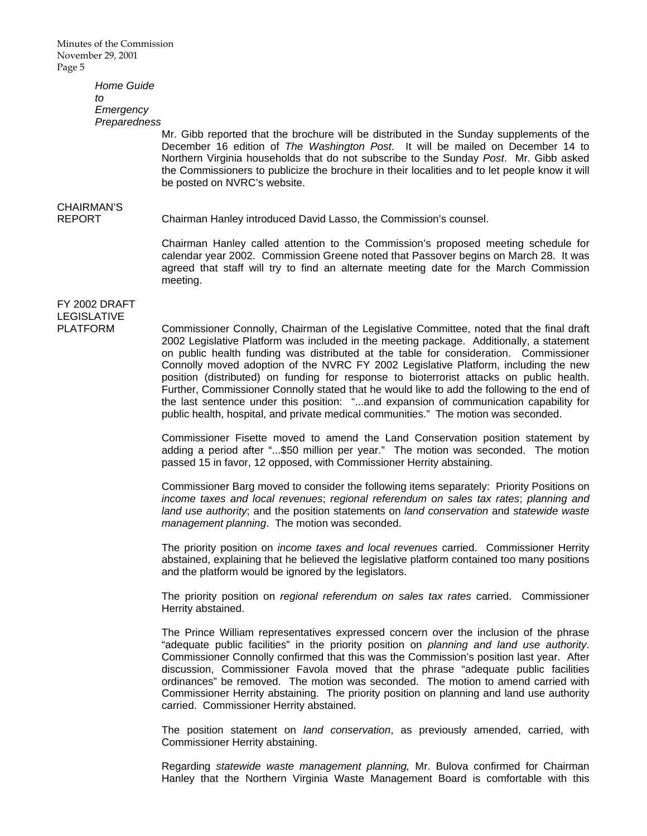> *Home Guide to Emergency Preparedness*

 Mr. Gibb reported that the brochure will be distributed in the Sunday supplements of the December 16 edition of *The Washington Post*. It will be mailed on December 14 to Northern Virginia households that do not subscribe to the Sunday *Post*. Mr. Gibb asked the Commissioners to publicize the brochure in their localities and to let people know it will be posted on NVRC's website.

# CHAIRMAN'S

REPORT Chairman Hanley introduced David Lasso, the Commission's counsel.

 Chairman Hanley called attention to the Commission's proposed meeting schedule for calendar year 2002. Commission Greene noted that Passover begins on March 28. It was agreed that staff will try to find an alternate meeting date for the March Commission meeting.

### FY 2002 DRAFT LEGISLATIVE

PLATFORM Commissioner Connolly, Chairman of the Legislative Committee, noted that the final draft 2002 Legislative Platform was included in the meeting package. Additionally, a statement on public health funding was distributed at the table for consideration. Commissioner Connolly moved adoption of the NVRC FY 2002 Legislative Platform, including the new position (distributed) on funding for response to bioterrorist attacks on public health. Further, Commissioner Connolly stated that he would like to add the following to the end of the last sentence under this position: "...and expansion of communication capability for public health, hospital, and private medical communities." The motion was seconded.

> Commissioner Fisette moved to amend the Land Conservation position statement by adding a period after "...\$50 million per year." The motion was seconded. The motion passed 15 in favor, 12 opposed, with Commissioner Herrity abstaining.

> Commissioner Barg moved to consider the following items separately: Priority Positions on *income taxes and local revenues*; *regional referendum on sales tax rates*; *planning and land use authority*; and the position statements on *land conservation* and *statewide waste management planning*. The motion was seconded.

> The priority position on *income taxes and local revenues* carried. Commissioner Herrity abstained, explaining that he believed the legislative platform contained too many positions and the platform would be ignored by the legislators.

> The priority position on *regional referendum on sales tax rates* carried. Commissioner Herrity abstained.

> The Prince William representatives expressed concern over the inclusion of the phrase "adequate public facilities" in the priority position on *planning and land use authority*. Commissioner Connolly confirmed that this was the Commission's position last year. After discussion, Commissioner Favola moved that the phrase "adequate public facilities ordinances" be removed. The motion was seconded. The motion to amend carried with Commissioner Herrity abstaining. The priority position on planning and land use authority carried. Commissioner Herrity abstained.

> The position statement on *land conservation*, as previously amended, carried, with Commissioner Herrity abstaining.

> Regarding *statewide waste management planning,* Mr. Bulova confirmed for Chairman Hanley that the Northern Virginia Waste Management Board is comfortable with this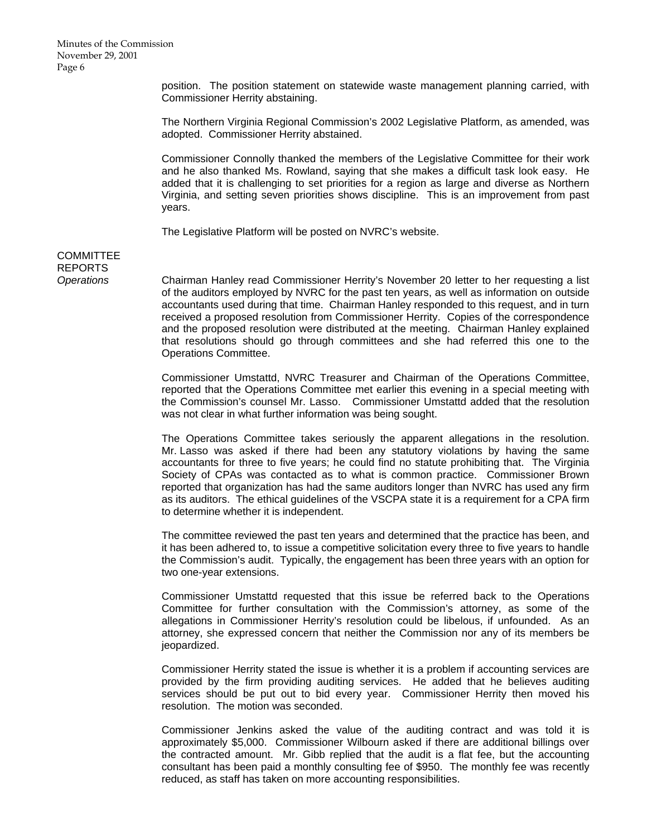position. The position statement on statewide waste management planning carried, with Commissioner Herrity abstaining.

 The Northern Virginia Regional Commission's 2002 Legislative Platform, as amended, was adopted. Commissioner Herrity abstained.

 Commissioner Connolly thanked the members of the Legislative Committee for their work and he also thanked Ms. Rowland, saying that she makes a difficult task look easy. He added that it is challenging to set priorities for a region as large and diverse as Northern Virginia, and setting seven priorities shows discipline. This is an improvement from past years.

The Legislative Platform will be posted on NVRC's website.

## **COMMITTEE** REPORTS

*Operations* Chairman Hanley read Commissioner Herrity's November 20 letter to her requesting a list of the auditors employed by NVRC for the past ten years, as well as information on outside accountants used during that time. Chairman Hanley responded to this request, and in turn received a proposed resolution from Commissioner Herrity. Copies of the correspondence and the proposed resolution were distributed at the meeting. Chairman Hanley explained that resolutions should go through committees and she had referred this one to the Operations Committee.

> Commissioner Umstattd, NVRC Treasurer and Chairman of the Operations Committee, reported that the Operations Committee met earlier this evening in a special meeting with the Commission's counsel Mr. Lasso. Commissioner Umstattd added that the resolution was not clear in what further information was being sought.

> The Operations Committee takes seriously the apparent allegations in the resolution. Mr. Lasso was asked if there had been any statutory violations by having the same accountants for three to five years; he could find no statute prohibiting that. The Virginia Society of CPAs was contacted as to what is common practice. Commissioner Brown reported that organization has had the same auditors longer than NVRC has used any firm as its auditors. The ethical guidelines of the VSCPA state it is a requirement for a CPA firm to determine whether it is independent.

> The committee reviewed the past ten years and determined that the practice has been, and it has been adhered to, to issue a competitive solicitation every three to five years to handle the Commission's audit. Typically, the engagement has been three years with an option for two one-year extensions.

> Commissioner Umstattd requested that this issue be referred back to the Operations Committee for further consultation with the Commission's attorney, as some of the allegations in Commissioner Herrity's resolution could be libelous, if unfounded. As an attorney, she expressed concern that neither the Commission nor any of its members be jeopardized.

> Commissioner Herrity stated the issue is whether it is a problem if accounting services are provided by the firm providing auditing services. He added that he believes auditing services should be put out to bid every year. Commissioner Herrity then moved his resolution. The motion was seconded.

> Commissioner Jenkins asked the value of the auditing contract and was told it is approximately \$5,000. Commissioner Wilbourn asked if there are additional billings over the contracted amount. Mr. Gibb replied that the audit is a flat fee, but the accounting consultant has been paid a monthly consulting fee of \$950. The monthly fee was recently reduced, as staff has taken on more accounting responsibilities.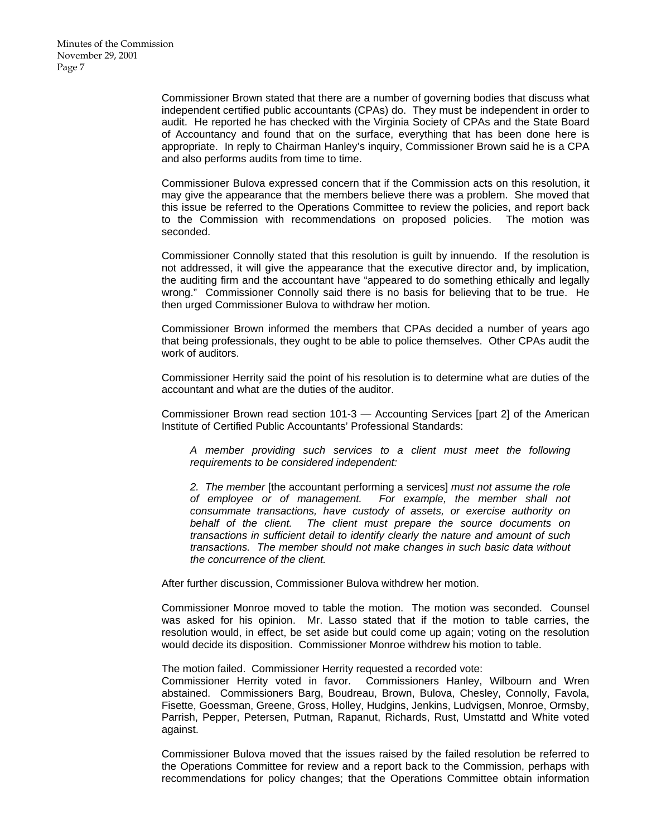Commissioner Brown stated that there are a number of governing bodies that discuss what independent certified public accountants (CPAs) do. They must be independent in order to audit. He reported he has checked with the Virginia Society of CPAs and the State Board of Accountancy and found that on the surface, everything that has been done here is appropriate. In reply to Chairman Hanley's inquiry, Commissioner Brown said he is a CPA and also performs audits from time to time.

 Commissioner Bulova expressed concern that if the Commission acts on this resolution, it may give the appearance that the members believe there was a problem. She moved that this issue be referred to the Operations Committee to review the policies, and report back to the Commission with recommendations on proposed policies. The motion was seconded.

 Commissioner Connolly stated that this resolution is guilt by innuendo. If the resolution is not addressed, it will give the appearance that the executive director and, by implication, the auditing firm and the accountant have "appeared to do something ethically and legally wrong." Commissioner Connolly said there is no basis for believing that to be true. He then urged Commissioner Bulova to withdraw her motion.

 Commissioner Brown informed the members that CPAs decided a number of years ago that being professionals, they ought to be able to police themselves. Other CPAs audit the work of auditors.

 Commissioner Herrity said the point of his resolution is to determine what are duties of the accountant and what are the duties of the auditor.

 Commissioner Brown read section 101-3 — Accounting Services [part 2] of the American Institute of Certified Public Accountants' Professional Standards:

*A member providing such services to a client must meet the following requirements to be considered independent:* 

*2. The member* [the accountant performing a services] *must not assume the role of employee or of management. For example, the member shall not consummate transactions, have custody of assets, or exercise authority on behalf of the client. The client must prepare the source documents on transactions in sufficient detail to identify clearly the nature and amount of such transactions. The member should not make changes in such basic data without the concurrence of the client.*

After further discussion, Commissioner Bulova withdrew her motion.

 Commissioner Monroe moved to table the motion. The motion was seconded. Counsel was asked for his opinion. Mr. Lasso stated that if the motion to table carries, the resolution would, in effect, be set aside but could come up again; voting on the resolution would decide its disposition. Commissioner Monroe withdrew his motion to table.

The motion failed. Commissioner Herrity requested a recorded vote:

 Commissioner Herrity voted in favor. Commissioners Hanley, Wilbourn and Wren abstained. Commissioners Barg, Boudreau, Brown, Bulova, Chesley, Connolly, Favola, Fisette, Goessman, Greene, Gross, Holley, Hudgins, Jenkins, Ludvigsen, Monroe, Ormsby, Parrish, Pepper, Petersen, Putman, Rapanut, Richards, Rust, Umstattd and White voted against.

 Commissioner Bulova moved that the issues raised by the failed resolution be referred to the Operations Committee for review and a report back to the Commission, perhaps with recommendations for policy changes; that the Operations Committee obtain information